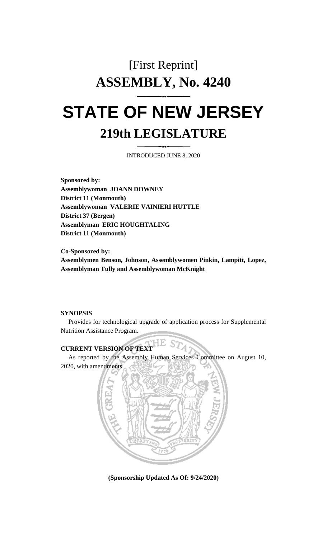# [First Reprint] **ASSEMBLY, No. 4240 STATE OF NEW JERSEY**

## **219th LEGISLATURE**

INTRODUCED JUNE 8, 2020

**Sponsored by: Assemblywoman JOANN DOWNEY District 11 (Monmouth) Assemblywoman VALERIE VAINIERI HUTTLE District 37 (Bergen) Assemblyman ERIC HOUGHTALING District 11 (Monmouth)**

**Co-Sponsored by: Assemblymen Benson, Johnson, Assemblywomen Pinkin, Lampitt, Lopez, Assemblyman Tully and Assemblywoman McKnight**

#### **SYNOPSIS**

Provides for technological upgrade of application process for Supplemental Nutrition Assistance Program.

## **CURRENT VERSION OF TEXT**

As reported by the Assembly Human Services Committee on August 10, 2020, with amendments.



**(Sponsorship Updated As Of: 9/24/2020)**